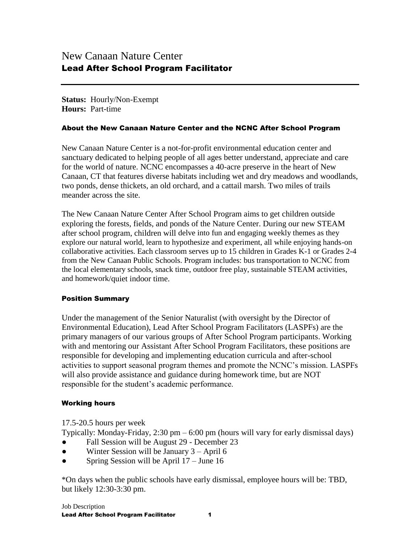**Status:** Hourly/Non-Exempt **Hours:** Part-time

#### About the New Canaan Nature Center and the NCNC After School Program

New Canaan Nature Center is a not-for-profit environmental education center and sanctuary dedicated to helping people of all ages better understand, appreciate and care for the world of nature. NCNC encompasses a 40-acre preserve in the heart of New Canaan, CT that features diverse habitats including wet and dry meadows and woodlands, two ponds, dense thickets, an old orchard, and a cattail marsh. Two miles of trails meander across the site.

The New Canaan Nature Center After School Program aims to get children outside exploring the forests, fields, and ponds of the Nature Center. During our new STEAM after school program, children will delve into fun and engaging weekly themes as they explore our natural world, learn to hypothesize and experiment, all while enjoying hands-on collaborative activities. Each classroom serves up to 15 children in Grades K-1 or Grades 2-4 from the New Canaan Public Schools. Program includes: bus transportation to NCNC from the local elementary schools, snack time, outdoor free play, sustainable STEAM activities, and homework/quiet indoor time.

### Position Summary

Under the management of the Senior Naturalist (with oversight by the Director of Environmental Education), Lead After School Program Facilitators (LASPFs) are the primary managers of our various groups of After School Program participants. Working with and mentoring our Assistant After School Program Facilitators, these positions are responsible for developing and implementing education curricula and after-school activities to support seasonal program themes and promote the NCNC's mission. LASPFs will also provide assistance and guidance during homework time, but are NOT responsible for the student's academic performance.

### Working hours

17.5-20.5 hours per week

Typically: Monday-Friday, 2:30 pm – 6:00 pm (hours will vary for early dismissal days)

- Fall Session will be August 29 December 23
- Winter Session will be January  $3 -$ April 6
- Spring Session will be April  $17 -$  June 16

\*On days when the public schools have early dismissal, employee hours will be: TBD, but likely 12:30-3:30 pm.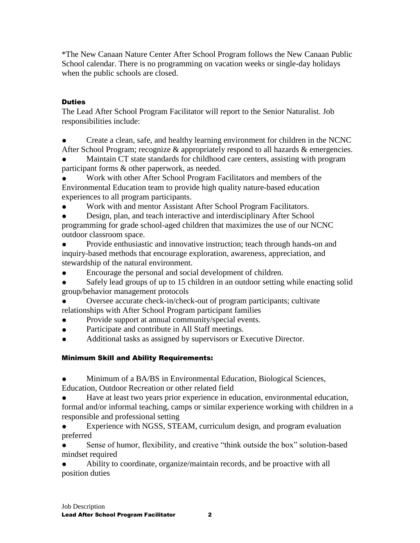\*The New Canaan Nature Center After School Program follows the New Canaan Public School calendar. There is no programming on vacation weeks or single-day holidays when the public schools are closed.

## **Duties**

The Lead After School Program Facilitator will report to the Senior Naturalist. Job responsibilities include:

Create a clean, safe, and healthy learning environment for children in the NCNC After School Program; recognize & appropriately respond to all hazards & emergencies.

Maintain CT state standards for childhood care centers, assisting with program participant forms & other paperwork, as needed.

Work with other After School Program Facilitators and members of the Environmental Education team to provide high quality nature-based education experiences to all program participants.

Work with and mentor Assistant After School Program Facilitators.

Design, plan, and teach interactive and interdisciplinary After School programming for grade school-aged children that maximizes the use of our NCNC outdoor classroom space.

Provide enthusiastic and innovative instruction; teach through hands-on and inquiry-based methods that encourage exploration, awareness, appreciation, and stewardship of the natural environment.

● Encourage the personal and social development of children.

• Safely lead groups of up to 15 children in an outdoor setting while enacting solid group/behavior management protocols

- Oversee accurate check-in/check-out of program participants; cultivate relationships with After School Program participant families
- Provide support at annual community/special events.
- Participate and contribute in All Staff meetings.
- Additional tasks as assigned by supervisors or Executive Director.

# Minimum Skill and Ability Requirements:

- Minimum of a BA/BS in Environmental Education, Biological Sciences, Education, Outdoor Recreation or other related field
- Have at least two years prior experience in education, environmental education, formal and/or informal teaching, camps or similar experience working with children in a responsible and professional setting
- Experience with NGSS, STEAM, curriculum design, and program evaluation preferred

Sense of humor, flexibility, and creative "think outside the box" solution-based mindset required

Ability to coordinate, organize/maintain records, and be proactive with all position duties